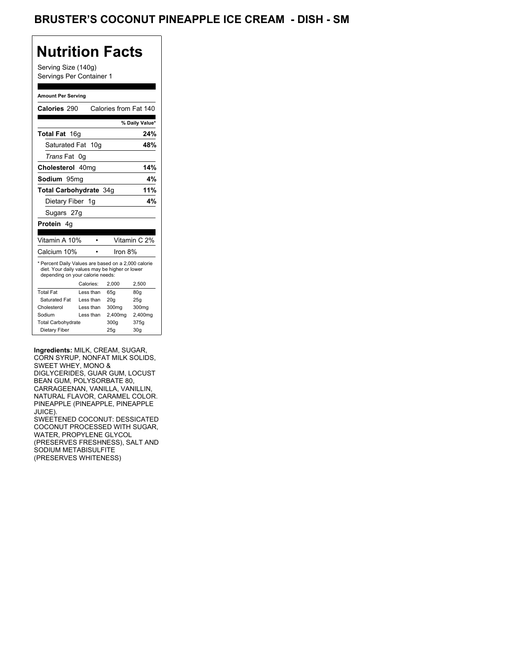### BRUSTER'S COCONUT PINEAPPLE ICE CREAM - DISH - SM

## **Nutrition Facts**

Serving Size (140g) Servings Per Container 1

#### **Amount Per Serving**

| Calories 290                                                                                                                              |    |                 | Calories from Fat 140 |                 |
|-------------------------------------------------------------------------------------------------------------------------------------------|----|-----------------|-----------------------|-----------------|
|                                                                                                                                           |    |                 |                       | % Daily Value*  |
| Total Fat 16g                                                                                                                             |    |                 |                       | 24%             |
| Saturated Fat                                                                                                                             |    | 10 <sub>g</sub> |                       | 48%             |
| <i>Trans</i> Fat                                                                                                                          | 0g |                 |                       |                 |
| Cholesterol 40mg                                                                                                                          |    |                 |                       | 14%             |
| Sodium 95mq                                                                                                                               |    |                 |                       | 4%              |
| <b>Total Carbohydrate 34g</b>                                                                                                             |    |                 |                       | 11%             |
| Dietary Fiber 1g                                                                                                                          |    |                 |                       | 4%              |
| Sugars 27g                                                                                                                                |    |                 |                       |                 |
| Protein 4q                                                                                                                                |    |                 |                       |                 |
|                                                                                                                                           |    |                 |                       |                 |
| Vitamin A 10%                                                                                                                             |    |                 |                       | Vitamin C 2%    |
| Calcium 10%                                                                                                                               |    |                 | Iron 8%               |                 |
| * Percent Daily Values are based on a 2,000 calorie<br>diet. Your daily values may be higher or lower<br>depending on your calorie needs: |    |                 |                       |                 |
|                                                                                                                                           |    | Calories:       | 2.000                 | 2,500           |
| <b>Total Fat</b>                                                                                                                          |    | Less than       | 65q                   | 80 <sub>g</sub> |
| Saturated Fat                                                                                                                             |    | Less than       | 20q                   | 25q             |
| Cholesterol                                                                                                                               |    | Less than       | 300mg                 | 300mg           |
| Sodium                                                                                                                                    |    | Less than       | 2,400mg               | 2,400mg         |
| <b>Total Carbohydrate</b>                                                                                                                 |    |                 | 300g                  | 375g            |
| Dietary Fiber                                                                                                                             |    |                 | 25q                   | 30 <sub>g</sub> |

**Ingredients:** MILK, CREAM, SUGAR, CORN SYRUP, NONFAT MILK SOLIDS, SWEET WHEY, MONO & DIGLYCERIDES, GUAR GUM, LOCUST BEAN GUM, POLYSORBATE 80, CARRAGEENAN, VANILLA, VANILLIN, NATURAL FLAVOR, CARAMEL COLOR. PINEAPPLE (PINEAPPLE, PINEAPPLE JUICE). SWEETENED COCONUT: DESSICATED COCONUT PROCESSED WITH SUGAR, WATER, PROPYLENE GLYCOL (PRESERVES FRESHNESS), SALT AND SODIUM METABISULFITE (PRESERVES WHITENESS)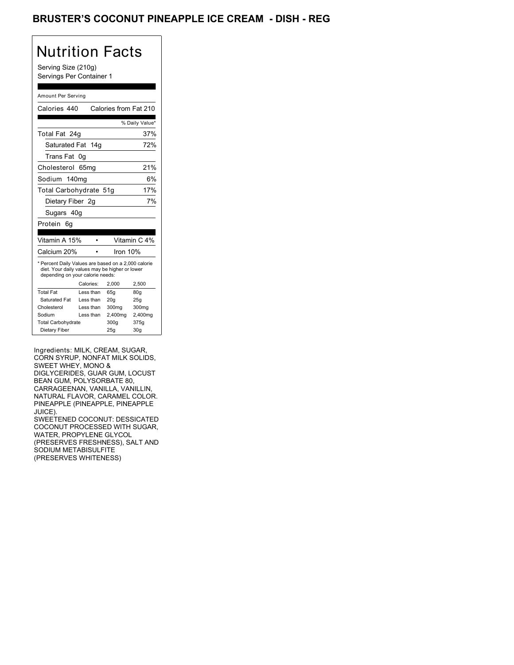### BRUSTER'S COCONUT PINEAPPLE ICE CREAM - DISH - REG

## Nutrition Facts

Serving Size (210g) Servings Per Container 1

#### Amount Per Serving

| Calories 440                                                                                                                              |           |            | Calories from Fat 210 |
|-------------------------------------------------------------------------------------------------------------------------------------------|-----------|------------|-----------------------|
|                                                                                                                                           |           |            | % Daily Value*        |
| Total Fat 24g                                                                                                                             |           |            | 37%                   |
| Saturated Fat 14g                                                                                                                         |           |            | 72%                   |
| Trans Fat                                                                                                                                 | 0g        |            |                       |
| Cholesterol                                                                                                                               | 65ma      |            | 21%                   |
| Sodium 140mg                                                                                                                              |           |            | 6%                    |
| Total Carbohydrate 51g                                                                                                                    |           |            | 17%                   |
| Dietary Fiber 2g                                                                                                                          |           |            | 7%                    |
| Sugars 40g                                                                                                                                |           |            |                       |
| Protein<br>6a                                                                                                                             |           |            |                       |
|                                                                                                                                           |           |            |                       |
| Vitamin A 15%                                                                                                                             |           |            | Vitamin C 4%          |
| Calcium 20%                                                                                                                               |           | Iron $10%$ |                       |
| * Percent Daily Values are based on a 2,000 calorie<br>diet. Your daily values may be higher or lower<br>depending on your calorie needs: |           |            |                       |
|                                                                                                                                           | Calories: | 2.000      | 2,500                 |
| <b>Total Fat</b>                                                                                                                          | Less than | 65q        | 80q                   |
| Saturated Fat                                                                                                                             | Less than | 20q        | 25q                   |
| Cholesterol                                                                                                                               | Less than | 300mg      | 300mg                 |
| Sodium                                                                                                                                    | Less than | 2,400mg    | 2,400mg               |
| <b>Total Carbohydrate</b>                                                                                                                 |           | 300q       | 375g                  |
| Dietary Fiber                                                                                                                             |           | 25q        | 30 <sub>g</sub>       |

Ingredients: MILK, CREAM, SUGAR, CORN SYRUP, NONFAT MILK SOLIDS, SWEET WHEY, MONO & DIGLYCERIDES, GUAR GUM, LOCUST BEAN GUM, POLYSORBATE 80, CARRAGEENAN, VANILLA, VANILLIN, NATURAL FLAVOR, CARAMEL COLOR. PINEAPPLE (PINEAPPLE, PINEAPPLE JUICE). SWEETENED COCONUT: DESSICATED COCONUT PROCESSED WITH SUGAR, WATER, PROPYLENE GLYCOL (PRESERVES FRESHNESS), SALT AND SODIUM METABISULFITE

(PRESERVES WHITENESS)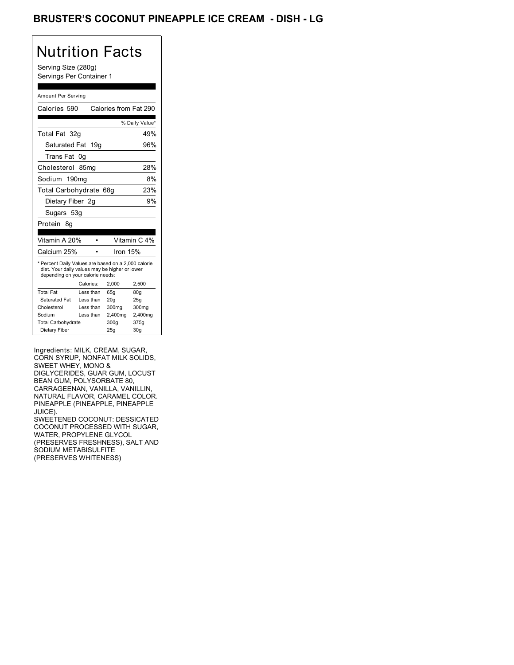### BRUSTER'S COCONUT PINEAPPLE ICE CREAM - DISH - LG

### Nutrition Facts

Serving Size (280g) Servings Per Container 1

#### Amount Per Serving

| Calories 590                                                                                                                              |    |           |          | Calories from Fat 290 |
|-------------------------------------------------------------------------------------------------------------------------------------------|----|-----------|----------|-----------------------|
|                                                                                                                                           |    |           |          |                       |
|                                                                                                                                           |    |           |          | % Daily Value*        |
| Total Fat 32g                                                                                                                             |    |           |          | 49%                   |
| Saturated Fat                                                                                                                             |    | 19q       |          | 96%                   |
| <b>Trans Fat</b>                                                                                                                          | 0g |           |          |                       |
| Cholesterol 85mg                                                                                                                          |    |           |          | 28%                   |
| Sodium 190mg                                                                                                                              |    |           |          | 8%                    |
| Total Carbohydrate 68g                                                                                                                    |    |           |          | 23%                   |
| Dietary Fiber 2q                                                                                                                          |    |           |          | 9%                    |
| Sugars 53g                                                                                                                                |    |           |          |                       |
| Protein<br>8g                                                                                                                             |    |           |          |                       |
|                                                                                                                                           |    |           |          |                       |
| Vitamin A 20%                                                                                                                             |    |           |          | Vitamin C 4%          |
| Calcium 25%                                                                                                                               |    |           | Iron 15% |                       |
| * Percent Daily Values are based on a 2,000 calorie<br>diet. Your daily values may be higher or lower<br>depending on your calorie needs: |    |           |          |                       |
|                                                                                                                                           |    | Calories: | 2.000    | 2,500                 |
| <b>Total Fat</b>                                                                                                                          |    | Less than | 65q      | 80 <sub>g</sub>       |
| Saturated Fat                                                                                                                             |    | Less than | 20q      | 25q                   |
| Cholesterol                                                                                                                               |    | Less than | 300mg    | 300mg                 |
| Sodium                                                                                                                                    |    | Less than | 2,400mg  | 2,400mg               |
| <b>Total Carbohydrate</b>                                                                                                                 |    |           | 300a     | 375g                  |
| Dietary Fiber                                                                                                                             |    |           | 25q      | 30 <sub>g</sub>       |

Ingredients: MILK, CREAM, SUGAR, CORN SYRUP, NONFAT MILK SOLIDS, SWEET WHEY, MONO & DIGLYCERIDES, GUAR GUM, LOCUST BEAN GUM, POLYSORBATE 80, CARRAGEENAN, VANILLA, VANILLIN, NATURAL FLAVOR, CARAMEL COLOR. PINEAPPLE (PINEAPPLE, PINEAPPLE JUICE). SWEETENED COCONUT: DESSICATED COCONUT PROCESSED WITH SUGAR, WATER, PROPYLENE GLYCOL (PRESERVES FRESHNESS), SALT AND SODIUM METABISULFITE (PRESERVES WHITENESS)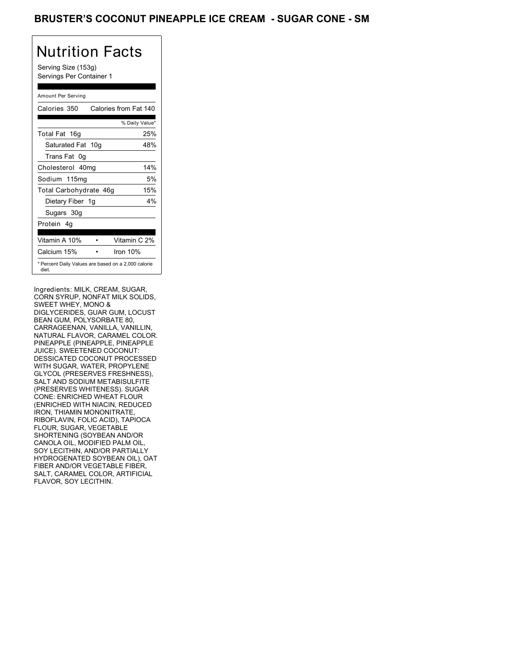# Nutrition Facts

Serving Size (153g) Servings Per Container 1

### Amount Per Serving

| Calories 350                                                 | Calories from Fat 140 |
|--------------------------------------------------------------|-----------------------|
|                                                              | % Daily Value*        |
| Total Fat 16g                                                | 25%                   |
| Saturated Fat 10g                                            | 48%                   |
| Trans Fat 0q                                                 |                       |
| Cholesterol 40mg                                             | 14%                   |
| Sodium 115mg                                                 | 5%                    |
| Total Carbohydrate 46g                                       | 15%                   |
| Dietary Fiber 1g                                             | $4\%$                 |
| Sugars 30g                                                   |                       |
| Protein 4q                                                   |                       |
| Vitamin A 10%                                                | Vitamin C 2%          |
| Calcium 15%                                                  | Iron $10%$            |
| * Percent Daily Values are based on a 2,000 calorie<br>diet. |                       |

Ingredients: MILK, CREAM, SUGAR, CORN SYRUP, NONFAT MILK SOLIDS, SWEET WHEY, MONO & DIGLYCERIDES, GUAR GUM, LOCUST BEAN GUM, POLYSORBATE 80, CARRAGEENAN, VANILLA, VANILLIN, NATURAL FLAVOR, CARAMEL COLOR. PINEAPPLE (PINEAPPLE, PINEAPPLE JUICE). SWEETENED COCONUT: DESSICATED COCONUT PROCESSED WITH SUGAR, WATER, PROPYLENE GLYCOL (PRESERVES FRESHNESS), SALT AND SODIUM METABISULFITE (PRESERVES WHITENESS). SUGAR CONE: ENRICHED WHEAT FLOUR (ENRICHED WITH NIACIN, REDUCED IRON, THIAMIN MONONITRATE, RIBOFLAVIN, FOLIC ACID), TAPIOCA FLOUR, SUGAR, VEGETABLE SHORTENING (SOYBEAN AND/OR CANOLA OIL, MODIFIED PALM OIL, SOY LECITHIN, AND/OR PARTIALLY HYDROGENATED SOYBEAN OIL), OAT FIBER AND/OR VEGETABLE FIBER, SALT, CARAMEL COLOR, ARTIFICIAL FLAVOR, SOY LECITHIN.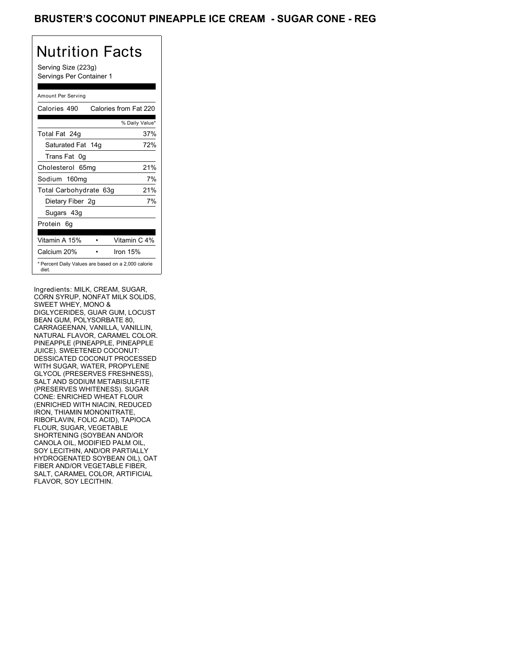### BRUSTER'S COCONUT PINEAPPLE ICE CREAM - SUGAR CONE - REG

# Nutrition Facts

Serving Size (223g) Servings Per Container 1

#### Amount Per Serving

| Calories 490                                                 | Calories from Fat 220 |
|--------------------------------------------------------------|-----------------------|
|                                                              | % Daily Value*        |
| Total Fat 24g                                                | 37%                   |
| Saturated Fat 14g                                            | 72%                   |
| Trans Fat 0q                                                 |                       |
| Cholesterol 65mg                                             | 21%                   |
| Sodium 160mg                                                 | 7%                    |
| Total Carbohydrate 63g                                       | 21%                   |
| Dietary Fiber 2g                                             | 7%                    |
| Sugars 43g                                                   |                       |
| Protein 6q                                                   |                       |
|                                                              |                       |
| Vitamin A 15%                                                | Vitamin C 4%          |
| Calcium 20%                                                  | Iron $15%$            |
| * Percent Daily Values are based on a 2,000 calorie<br>diet. |                       |

Ingredients: MILK, CREAM, SUGAR, CORN SYRUP, NONFAT MILK SOLIDS, SWEET WHEY, MONO & DIGLYCERIDES, GUAR GUM, LOCUST BEAN GUM, POLYSORBATE 80, CARRAGEENAN, VANILLA, VANILLIN, NATURAL FLAVOR, CARAMEL COLOR. PINEAPPLE (PINEAPPLE, PINEAPPLE JUICE). SWEETENED COCONUT: DESSICATED COCONUT PROCESSED WITH SUGAR, WATER, PROPYLENE GLYCOL (PRESERVES FRESHNESS), SALT AND SODIUM METABISULFITE (PRESERVES WHITENESS). SUGAR CONE: ENRICHED WHEAT FLOUR (ENRICHED WITH NIACIN, REDUCED IRON, THIAMIN MONONITRATE, RIBOFLAVIN, FOLIC ACID), TAPIOCA FLOUR, SUGAR, VEGETABLE SHORTENING (SOYBEAN AND/OR CANOLA OIL, MODIFIED PALM OIL, SOY LECITHIN, AND/OR PARTIALLY HYDROGENATED SOYBEAN OIL), OAT FIBER AND/OR VEGETABLE FIBER, SALT, CARAMEL COLOR, ARTIFICIAL FLAVOR, SOY LECITHIN.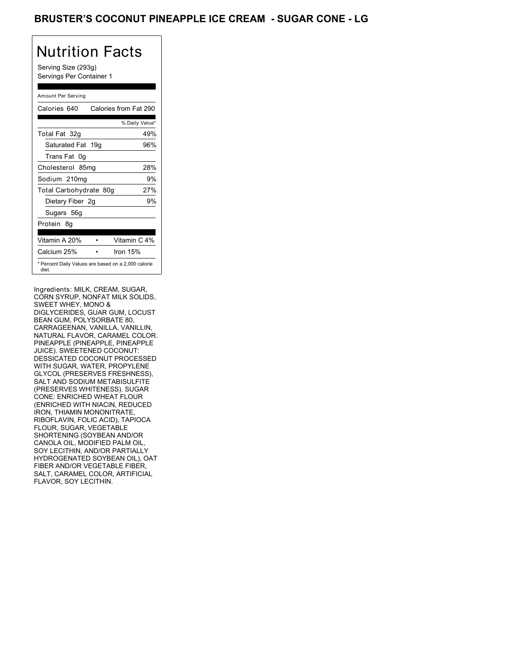### BRUSTER'S COCONUT PINEAPPLE ICE CREAM - SUGAR CONE - LG

# Nutrition Facts

Serving Size (293g) Servings Per Container 1

#### Amount Per Serving

| Calories 640                                                 | Calories from Fat 290 |
|--------------------------------------------------------------|-----------------------|
|                                                              | % Daily Value*        |
| Total Fat 32g                                                | 49%                   |
| Saturated Fat 19g                                            | 96%                   |
| Trans Fat 0q                                                 |                       |
| Cholesterol 85mg                                             | 28%                   |
| Sodium 210mg                                                 | 9%                    |
| Total Carbohydrate 80g                                       | 27%                   |
| Dietary Fiber 2g                                             | 9%                    |
| Sugars 56g                                                   |                       |
| Protein 8q                                                   |                       |
| Vitamin A 20%                                                | Vitamin C 4%          |
| Calcium 25%                                                  | Iron $15%$            |
| * Percent Daily Values are based on a 2,000 calorie<br>diet. |                       |

Ingredients: MILK, CREAM, SUGAR, CORN SYRUP, NONFAT MILK SOLIDS, SWEET WHEY, MONO & DIGLYCERIDES, GUAR GUM, LOCUST BEAN GUM, POLYSORBATE 80, CARRAGEENAN, VANILLA, VANILLIN, NATURAL FLAVOR, CARAMEL COLOR. PINEAPPLE (PINEAPPLE, PINEAPPLE JUICE). SWEETENED COCONUT: DESSICATED COCONUT PROCESSED WITH SUGAR, WATER, PROPYLENE GLYCOL (PRESERVES FRESHNESS), SALT AND SODIUM METABISULFITE (PRESERVES WHITENESS). SUGAR CONE: ENRICHED WHEAT FLOUR (ENRICHED WITH NIACIN, REDUCED IRON, THIAMIN MONONITRATE, RIBOFLAVIN, FOLIC ACID), TAPIOCA FLOUR, SUGAR, VEGETABLE SHORTENING (SOYBEAN AND/OR CANOLA OIL, MODIFIED PALM OIL, SOY LECITHIN, AND/OR PARTIALLY HYDROGENATED SOYBEAN OIL), OAT FIBER AND/OR VEGETABLE FIBER, SALT, CARAMEL COLOR, ARTIFICIAL FLAVOR, SOY LECITHIN.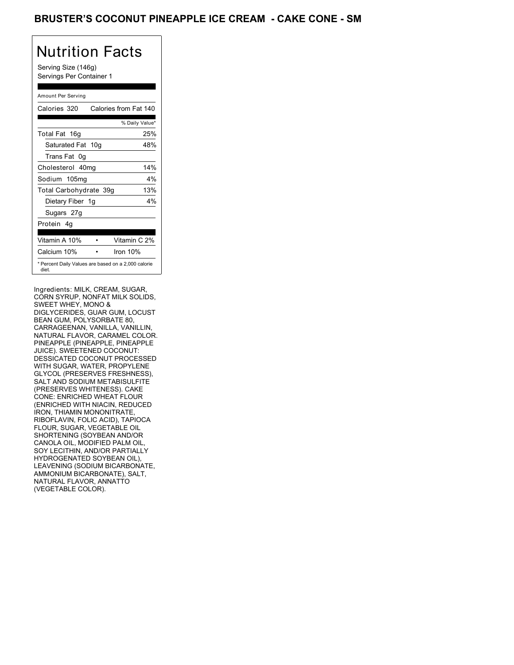### BRUSTER'S COCONUT PINEAPPLE ICE CREAM **- CAKE CONE - SM**

# Nutrition Facts

Serving Size (146g) Servings Per Container 1

#### Amount Per Serving

| Calories 320                                                 | Calories from Fat 140 |
|--------------------------------------------------------------|-----------------------|
|                                                              | % Daily Value*        |
| Total Fat 16g                                                | 25%                   |
| Saturated Fat 10g                                            | 48%                   |
| Trans Fat 0q                                                 |                       |
| Cholesterol 40mg                                             | 14%                   |
| Sodium 105mg                                                 | $4\%$                 |
| Total Carbohydrate 39g                                       | 13%                   |
| Dietary Fiber 1g                                             | $4\%$                 |
| Sugars 27g                                                   |                       |
| Protein 4q                                                   |                       |
| Vitamin A 10%                                                | Vitamin C 2%          |
| Calcium 10%                                                  | Iron $10%$            |
| * Percent Daily Values are based on a 2,000 calorie<br>diet. |                       |

Ingredients: MILK, CREAM, SUGAR, CORN SYRUP, NONFAT MILK SOLIDS, SWEET WHEY, MONO & DIGLYCERIDES, GUAR GUM, LOCUST BEAN GUM, POLYSORBATE 80, CARRAGEENAN, VANILLA, VANILLIN, NATURAL FLAVOR, CARAMEL COLOR. PINEAPPLE (PINEAPPLE, PINEAPPLE JUICE). SWEETENED COCONUT: DESSICATED COCONUT PROCESSED WITH SUGAR, WATER, PROPYLENE GLYCOL (PRESERVES FRESHNESS), SALT AND SODIUM METABISULFITE (PRESERVES WHITENESS). CAKE CONE: ENRICHED WHEAT FLOUR (ENRICHED WITH NIACIN, REDUCED IRON, THIAMIN MONONITRATE, RIBOFLAVIN, FOLIC ACID), TAPIOCA FLOUR, SUGAR, VEGETABLE OIL SHORTENING (SOYBEAN AND/OR CANOLA OIL, MODIFIED PALM OIL, SOY LECITHIN, AND/OR PARTIALLY HYDROGENATED SOYBEAN OIL), LEAVENING (SODIUM BICARBONATE, AMMONIUM BICARBONATE), SALT, NATURAL FLAVOR, ANNATTO (VEGETABLE COLOR).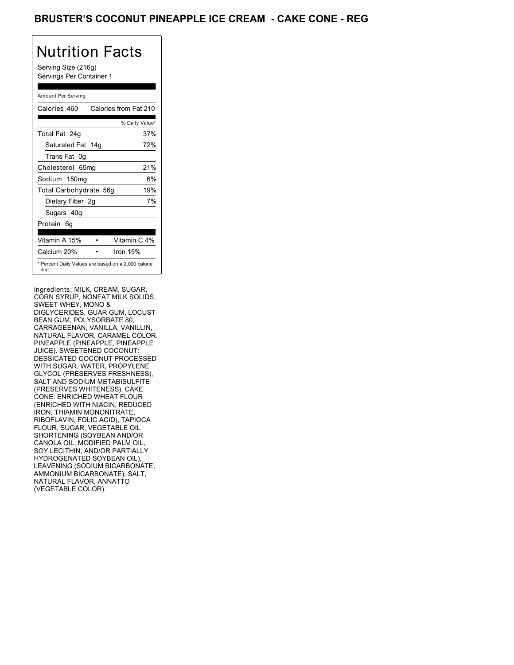### BRUSTER'S COCONUT PINEAPPLE ICE CREAM **- CAKE CONE - REG**

## Nutrition Facts

Serving Size (216g) Servings Per Container 1

### Amount Per Serving

| Calories 460           | Calories from Fat 210                               |
|------------------------|-----------------------------------------------------|
|                        | % Daily Value*                                      |
| Total Fat 24g          | 37%                                                 |
| Saturated Fat 14g      | 72%                                                 |
| Trans Fat 0q           |                                                     |
| Cholesterol 65mg       | 21%                                                 |
| Sodium 150mg           | 6%                                                  |
| Total Carbohydrate 56g | 19%                                                 |
| Dietary Fiber 2g       | 7%                                                  |
| Sugars 40g             |                                                     |
| Protein 6q             |                                                     |
| Vitamin A 15%          | Vitamin C 4%                                        |
| Calcium 20%            | Iron $15%$                                          |
| diet.                  | * Percent Daily Values are based on a 2,000 calorie |

Ingredients: MILK, CREAM, SUGAR, CORN SYRUP, NONFAT MILK SOLIDS, SWEET WHEY, MONO & DIGLYCERIDES, GUAR GUM, LOCUST BEAN GUM, POLYSORBATE 80, CARRAGEENAN, VANILLA, VANILLIN, NATURAL FLAVOR, CARAMEL COLOR. PINEAPPLE (PINEAPPLE, PINEAPPLE JUICE). SWEETENED COCONUT: DESSICATED COCONUT PROCESSED WITH SUGAR, WATER, PROPYLENE GLYCOL (PRESERVES FRESHNESS), SALT AND SODIUM METABISULFITE (PRESERVES WHITENESS). CAKE CONE: ENRICHED WHEAT FLOUR (ENRICHED WITH NIACIN, REDUCED IRON, THIAMIN MONONITRATE, RIBOFLAVIN, FOLIC ACID), TAPIOCA FLOUR, SUGAR, VEGETABLE OIL SHORTENING (SOYBEAN AND/OR CANOLA OIL, MODIFIED PALM OIL, SOY LECITHIN, AND/OR PARTIALLY HYDROGENATED SOYBEAN OIL), LEAVENING (SODIUM BICARBONATE, AMMONIUM BICARBONATE), SALT, NATURAL FLAVOR, ANNATTO (VEGETABLE COLOR).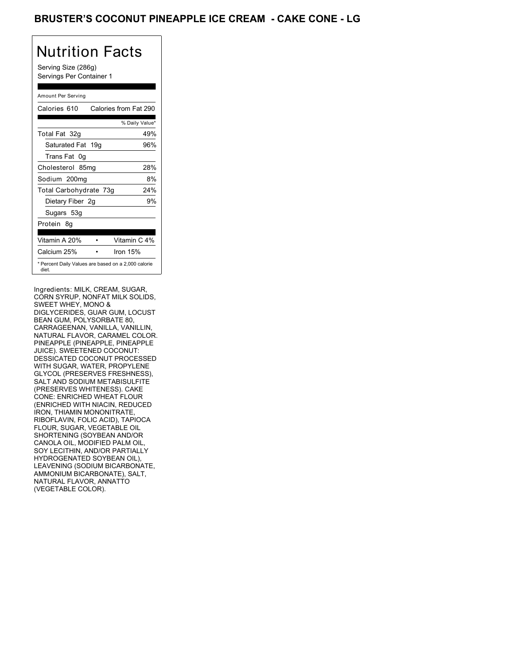### BRUSTER'S COCONUT PINEAPPLE ICE CREAM **- CAKE CONE - LG**

# Nutrition Facts

Serving Size (286g) Servings Per Container 1

#### Amount Per Serving

| Calories 610           | Calories from Fat 290                               |
|------------------------|-----------------------------------------------------|
|                        | % Daily Value*                                      |
| Total Fat 32g          | 49%                                                 |
| Saturated Fat 19g      | 96%                                                 |
| Trans Fat 0q           |                                                     |
| Cholesterol 85mg       | 28%                                                 |
| Sodium 200mg           | 8%                                                  |
| Total Carbohydrate 73g | 24%                                                 |
| Dietary Fiber 2g       | 9%                                                  |
| Sugars 53g             |                                                     |
| Protein 8q             |                                                     |
|                        |                                                     |
| Vitamin A 20%          | Vitamin C 4%                                        |
| Calcium 25%            | Iron $15%$                                          |
| diet.                  | * Percent Daily Values are based on a 2,000 calorie |

Ingredients: MILK, CREAM, SUGAR, CORN SYRUP, NONFAT MILK SOLIDS, SWEET WHEY, MONO & DIGLYCERIDES, GUAR GUM, LOCUST BEAN GUM, POLYSORBATE 80, CARRAGEENAN, VANILLA, VANILLIN, NATURAL FLAVOR, CARAMEL COLOR. PINEAPPLE (PINEAPPLE, PINEAPPLE JUICE). SWEETENED COCONUT: DESSICATED COCONUT PROCESSED WITH SUGAR, WATER, PROPYLENE GLYCOL (PRESERVES FRESHNESS), SALT AND SODIUM METABISULFITE (PRESERVES WHITENESS). CAKE CONE: ENRICHED WHEAT FLOUR (ENRICHED WITH NIACIN, REDUCED IRON, THIAMIN MONONITRATE, RIBOFLAVIN, FOLIC ACID), TAPIOCA FLOUR, SUGAR, VEGETABLE OIL SHORTENING (SOYBEAN AND/OR CANOLA OIL, MODIFIED PALM OIL, SOY LECITHIN, AND/OR PARTIALLY HYDROGENATED SOYBEAN OIL), LEAVENING (SODIUM BICARBONATE, AMMONIUM BICARBONATE), SALT, NATURAL FLAVOR, ANNATTO (VEGETABLE COLOR).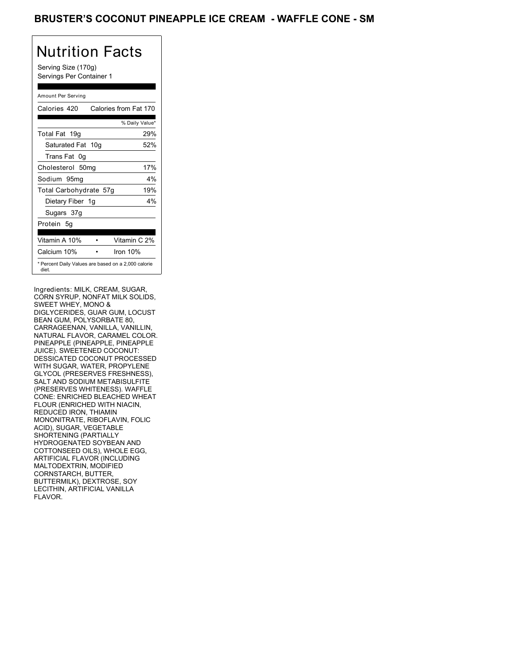# Nutrition Facts

Serving Size (170g) Servings Per Container 1

### Amount Per Serving

| Calories 420                                                 | Calories from Fat 170 |
|--------------------------------------------------------------|-----------------------|
|                                                              | % Daily Value*        |
| Total Fat 19g                                                | 29%                   |
| Saturated Fat 10g                                            | 52%                   |
| Trans Fat 0q                                                 |                       |
| Cholesterol 50mg                                             | 17%                   |
| Sodium 95mg                                                  | $4\%$                 |
| Total Carbohydrate 57g                                       | 19%                   |
| Dietary Fiber 1g                                             | 4%                    |
| Sugars 37g                                                   |                       |
| Protein 5q                                                   |                       |
| Vitamin A 10%                                                | Vitamin C 2%          |
| Calcium 10%                                                  | Iron 10%              |
| * Percent Daily Values are based on a 2,000 calorie<br>diet. |                       |

Ingredients: MILK, CREAM, SUGAR, CORN SYRUP, NONFAT MILK SOLIDS, SWEET WHEY, MONO & DIGLYCERIDES, GUAR GUM, LOCUST BEAN GUM, POLYSORBATE 80, CARRAGEENAN, VANILLA, VANILLIN, NATURAL FLAVOR, CARAMEL COLOR. PINEAPPLE (PINEAPPLE, PINEAPPLE JUICE). SWEETENED COCONUT: DESSICATED COCONUT PROCESSED WITH SUGAR, WATER, PROPYLENE GLYCOL (PRESERVES FRESHNESS), SALT AND SODIUM METABISULFITE (PRESERVES WHITENESS). WAFFLE CONE: ENRICHED BLEACHED WHEAT FLOUR (ENRICHED WITH NIACIN, REDUCED IRON, THIAMIN MONONITRATE, RIBOFLAVIN, FOLIC ACID), SUGAR, VEGETABLE SHORTENING (PARTIALLY HYDROGENATED SOYBEAN AND COTTONSEED OILS), WHOLE EGG, ARTIFICIAL FLAVOR (INCLUDING MALTODEXTRIN, MODIFIED CORNSTARCH, BUTTER, BUTTERMILK), DEXTROSE, SOY LECITHIN, ARTIFICIAL VANILLA FLAVOR.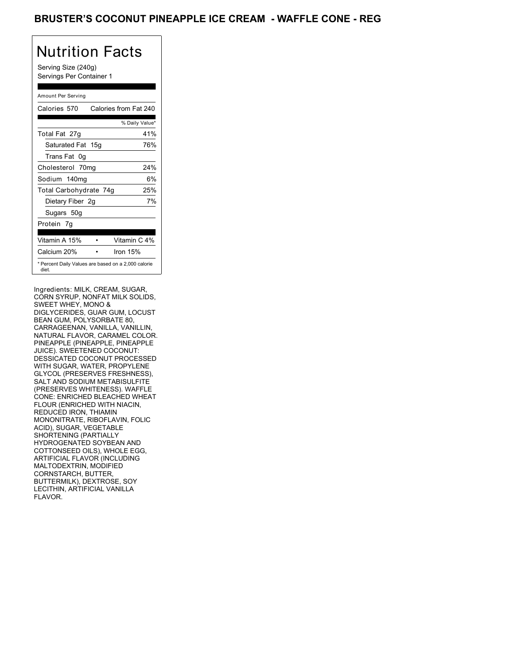### BRUSTER'S COCONUT PINEAPPLE ICE CREAM - WAFFLE CONE - REG

## Nutrition Facts

Serving Size (240g) Servings Per Container 1

#### Amount Per Serving

| Calories 570           | Calories from Fat 240                               |
|------------------------|-----------------------------------------------------|
|                        | % Daily Value*                                      |
| Total Fat 27g          | 41%                                                 |
| Saturated Fat 15g      | 76%                                                 |
| Trans Fat 0q           |                                                     |
| Cholesterol 70mg       | 24%                                                 |
| Sodium 140mg           | 6%                                                  |
| Total Carbohydrate 74g | 25%                                                 |
| Dietary Fiber 2g       | 7%                                                  |
| Sugars 50g             |                                                     |
| Protein 7q             |                                                     |
| Vitamin A 15%          | Vitamin C 4%                                        |
| Calcium 20%            | Iron $15%$                                          |
| diet.                  | * Percent Daily Values are based on a 2,000 calorie |

Ingredients: MILK, CREAM, SUGAR, CORN SYRUP, NONFAT MILK SOLIDS, SWEET WHEY, MONO & DIGLYCERIDES, GUAR GUM, LOCUST BEAN GUM, POLYSORBATE 80, CARRAGEENAN, VANILLA, VANILLIN, NATURAL FLAVOR, CARAMEL COLOR. PINEAPPLE (PINEAPPLE, PINEAPPLE JUICE). SWEETENED COCONUT: DESSICATED COCONUT PROCESSED WITH SUGAR, WATER, PROPYLENE GLYCOL (PRESERVES FRESHNESS), SALT AND SODIUM METABISULFITE (PRESERVES WHITENESS). WAFFLE CONE: ENRICHED BLEACHED WHEAT FLOUR (ENRICHED WITH NIACIN, REDUCED IRON, THIAMIN MONONITRATE, RIBOFLAVIN, FOLIC ACID), SUGAR, VEGETABLE SHORTENING (PARTIALLY HYDROGENATED SOYBEAN AND COTTONSEED OILS), WHOLE EGG, ARTIFICIAL FLAVOR (INCLUDING MALTODEXTRIN, MODIFIED CORNSTARCH, BUTTER, BUTTERMILK), DEXTROSE, SOY LECITHIN, ARTIFICIAL VANILLA FLAVOR.